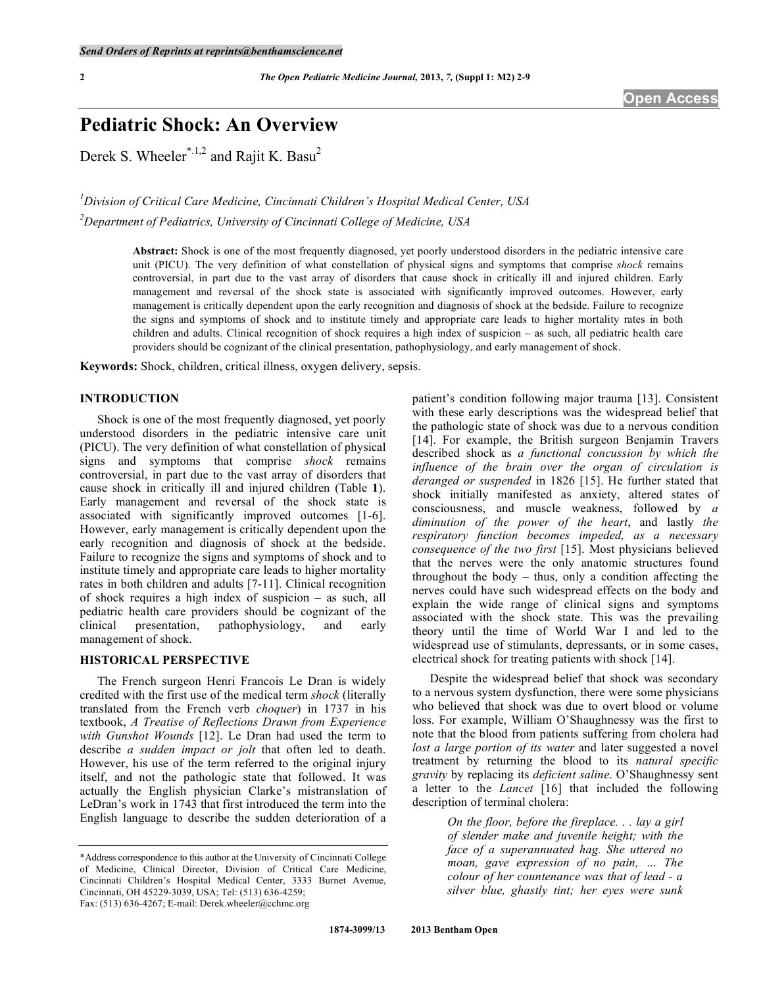# **Pediatric Shock: An Overview**

Derek S. Wheeler<sup>\*.1,2</sup> and Rajit K. Basu<sup>2</sup>

*1 Division of Critical Care Medicine, Cincinnati Children's Hospital Medical Center, USA 2 Department of Pediatrics, University of Cincinnati College of Medicine, USA* 

> **Abstract:** Shock is one of the most frequently diagnosed, yet poorly understood disorders in the pediatric intensive care unit (PICU). The very definition of what constellation of physical signs and symptoms that comprise *shock* remains controversial, in part due to the vast array of disorders that cause shock in critically ill and injured children. Early management and reversal of the shock state is associated with significantly improved outcomes. However, early management is critically dependent upon the early recognition and diagnosis of shock at the bedside. Failure to recognize the signs and symptoms of shock and to institute timely and appropriate care leads to higher mortality rates in both children and adults. Clinical recognition of shock requires a high index of suspicion – as such, all pediatric health care providers should be cognizant of the clinical presentation, pathophysiology, and early management of shock.

**Keywords:** Shock, children, critical illness, oxygen delivery, sepsis.

# **INTRODUCTION**

 Shock is one of the most frequently diagnosed, yet poorly understood disorders in the pediatric intensive care unit (PICU). The very definition of what constellation of physical signs and symptoms that comprise *shock* remains controversial, in part due to the vast array of disorders that cause shock in critically ill and injured children (Table **1**). Early management and reversal of the shock state is associated with significantly improved outcomes [1-6]. However, early management is critically dependent upon the early recognition and diagnosis of shock at the bedside. Failure to recognize the signs and symptoms of shock and to institute timely and appropriate care leads to higher mortality rates in both children and adults [7-11]. Clinical recognition of shock requires a high index of suspicion – as such, all pediatric health care providers should be cognizant of the clinical presentation, pathophysiology, and early clinical presentation, pathophysiology, and management of shock.

# **HISTORICAL PERSPECTIVE**

 The French surgeon Henri Francois Le Dran is widely credited with the first use of the medical term *shock* (literally translated from the French verb *choquer*) in 1737 in his textbook, *A Treatise of Reflections Drawn from Experience with Gunshot Wounds* [12]. Le Dran had used the term to describe *a sudden impact or jolt* that often led to death. However, his use of the term referred to the original injury itself, and not the pathologic state that followed. It was actually the English physician Clarke's mistranslation of LeDran's work in 1743 that first introduced the term into the English language to describe the sudden deterioration of a

patient's condition following major trauma [13]. Consistent with these early descriptions was the widespread belief that the pathologic state of shock was due to a nervous condition [14]. For example, the British surgeon Benjamin Travers described shock as *a functional concussion by which the influence of the brain over the organ of circulation is deranged or suspended* in 1826 [15]. He further stated that shock initially manifested as anxiety, altered states of consciousness, and muscle weakness, followed by *a diminution of the power of the heart*, and lastly *the respiratory function becomes impeded, as a necessary consequence of the two first* [15]. Most physicians believed that the nerves were the only anatomic structures found throughout the body  $-$  thus, only a condition affecting the nerves could have such widespread effects on the body and explain the wide range of clinical signs and symptoms associated with the shock state. This was the prevailing theory until the time of World War I and led to the widespread use of stimulants, depressants, or in some cases, electrical shock for treating patients with shock [14].

 Despite the widespread belief that shock was secondary to a nervous system dysfunction, there were some physicians who believed that shock was due to overt blood or volume loss. For example, William O'Shaughnessy was the first to note that the blood from patients suffering from cholera had *lost a large portion of its water* and later suggested a novel treatment by returning the blood to its *natural specific gravity* by replacing its *deficient saline*. O'Shaughnessy sent a letter to the *Lancet* [16] that included the following description of terminal cholera:

> *On the floor, before the fireplace. . . lay a girl of slender make and juvenile height; with the face of a superannuated hag. She uttered no moan, gave expression of no pain, … The colour of her countenance was that of lead - a silver blue, ghastly tint; her eyes were sunk*

<sup>\*</sup>Address correspondence to this author at the University of Cincinnati College of Medicine, Clinical Director, Division of Critical Care Medicine, Cincinnati Children's Hospital Medical Center, 3333 Burnet Avenue, Cincinnati, OH 45229-3039, USA; Tel: (513) 636-4259; Fax: (513) 636-4267; E-mail: Derek.wheeler@cchmc.org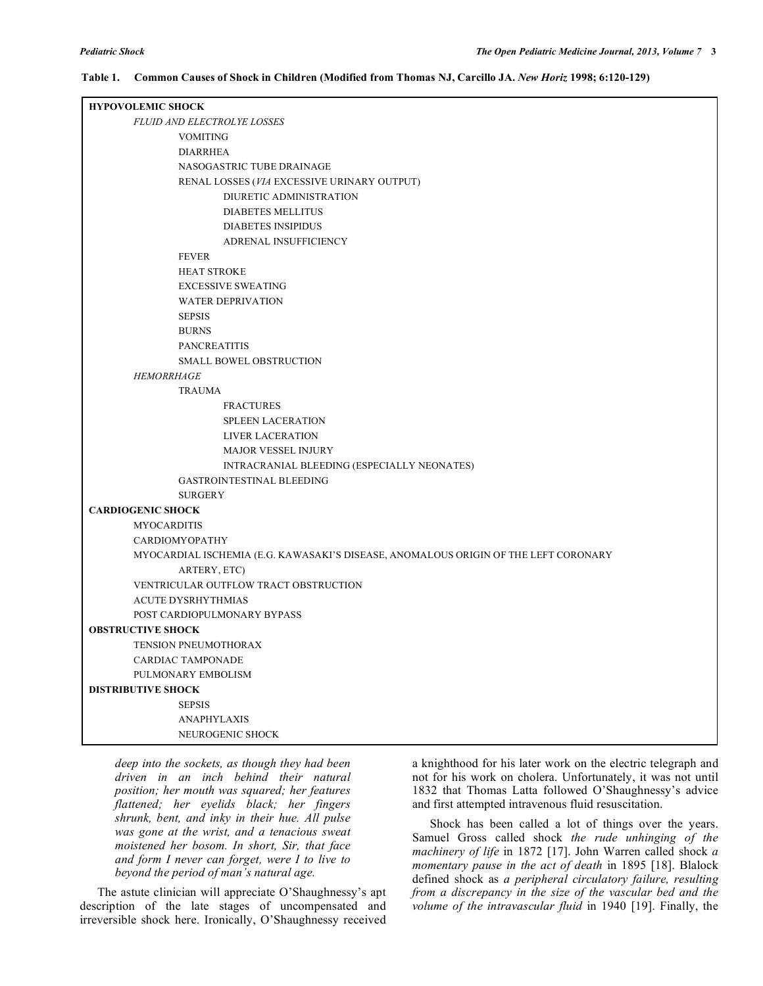### **Table 1. Common Causes of Shock in Children (Modified from Thomas NJ, Carcillo JA.** *New Horiz* **1998; 6:120-129)**

| <b>HYPOVOLEMIC SHOCK</b>                                                            |  |  |  |
|-------------------------------------------------------------------------------------|--|--|--|
| <b>FLUID AND ELECTROLYE LOSSES</b>                                                  |  |  |  |
| <b>VOMITING</b>                                                                     |  |  |  |
| <b>DIARRHEA</b>                                                                     |  |  |  |
| NASOGASTRIC TUBE DRAINAGE                                                           |  |  |  |
| RENAL LOSSES (VIA EXCESSIVE URINARY OUTPUT)                                         |  |  |  |
| DIURETIC ADMINISTRATION                                                             |  |  |  |
| <b>DIABETES MELLITUS</b>                                                            |  |  |  |
| <b>DIABETES INSIPIDUS</b>                                                           |  |  |  |
| ADRENAL INSUFFICIENCY                                                               |  |  |  |
| <b>FEVER</b>                                                                        |  |  |  |
| <b>HEAT STROKE</b>                                                                  |  |  |  |
| <b>EXCESSIVE SWEATING</b>                                                           |  |  |  |
| <b>WATER DEPRIVATION</b>                                                            |  |  |  |
| <b>SEPSIS</b>                                                                       |  |  |  |
| <b>BURNS</b>                                                                        |  |  |  |
| <b>PANCREATITIS</b>                                                                 |  |  |  |
| SMALL BOWEL OBSTRUCTION                                                             |  |  |  |
| <b>HEMORRHAGE</b>                                                                   |  |  |  |
| <b>TRAUMA</b>                                                                       |  |  |  |
| <b>FRACTURES</b>                                                                    |  |  |  |
| <b>SPLEEN LACERATION</b>                                                            |  |  |  |
| LIVER LACERATION                                                                    |  |  |  |
| <b>MAJOR VESSEL INJURY</b>                                                          |  |  |  |
| INTRACRANIAL BLEEDING (ESPECIALLY NEONATES)                                         |  |  |  |
| <b>GASTROINTESTINAL BLEEDING</b>                                                    |  |  |  |
| <b>SURGERY</b>                                                                      |  |  |  |
| <b>CARDIOGENIC SHOCK</b>                                                            |  |  |  |
| <b>MYOCARDITIS</b>                                                                  |  |  |  |
| <b>CARDIOMYOPATHY</b>                                                               |  |  |  |
| MYOCARDIAL ISCHEMIA (E.G. KAWASAKI'S DISEASE, ANOMALOUS ORIGIN OF THE LEFT CORONARY |  |  |  |
| ARTERY, ETC)                                                                        |  |  |  |
| VENTRICULAR OUTFLOW TRACT OBSTRUCTION                                               |  |  |  |
| ACUTE DYSRHYTHMIAS                                                                  |  |  |  |
| POST CARDIOPULMONARY BYPASS                                                         |  |  |  |
| <b>OBSTRUCTIVE SHOCK</b>                                                            |  |  |  |
| TENSION PNEUMOTHORAX                                                                |  |  |  |
| <b>CARDIAC TAMPONADE</b>                                                            |  |  |  |
| PULMONARY EMBOLISM                                                                  |  |  |  |
| <b>DISTRIBUTIVE SHOCK</b><br><b>SEPSIS</b>                                          |  |  |  |
| <b>ANAPHYLAXIS</b>                                                                  |  |  |  |
| NEUROGENIC SHOCK                                                                    |  |  |  |
|                                                                                     |  |  |  |

*deep into the sockets, as though they had been driven in an inch behind their natural position; her mouth was squared; her features flattened; her eyelids black; her fingers shrunk, bent, and inky in their hue. All pulse was gone at the wrist, and a tenacious sweat moistened her bosom. In short, Sir, that face and form I never can forget, were I to live to beyond the period of man's natural age.* 

 The astute clinician will appreciate O'Shaughnessy's apt description of the late stages of uncompensated and irreversible shock here. Ironically, O'Shaughnessy received

a knighthood for his later work on the electric telegraph and not for his work on cholera. Unfortunately, it was not until 1832 that Thomas Latta followed O'Shaughnessy's advice and first attempted intravenous fluid resuscitation.

 Shock has been called a lot of things over the years. Samuel Gross called shock *the rude unhinging of the machinery of life* in 1872 [17]. John Warren called shock *a momentary pause in the act of death* in 1895 [18]. Blalock defined shock as *a peripheral circulatory failure, resulting from a discrepancy in the size of the vascular bed and the volume of the intravascular fluid* in 1940 [19]. Finally, the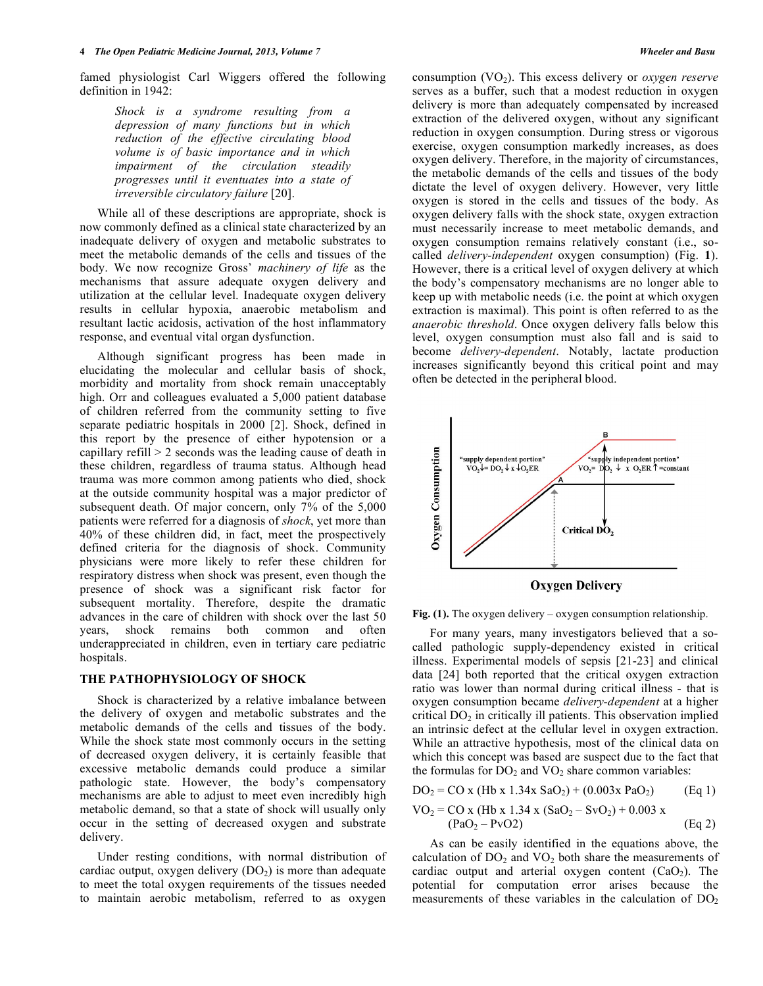famed physiologist Carl Wiggers offered the following definition in 1942:

> *Shock is a syndrome resulting from a depression of many functions but in which reduction of the effective circulating blood volume is of basic importance and in which impairment of the circulation steadily progresses until it eventuates into a state of irreversible circulatory failure* [20].

 While all of these descriptions are appropriate, shock is now commonly defined as a clinical state characterized by an inadequate delivery of oxygen and metabolic substrates to meet the metabolic demands of the cells and tissues of the body. We now recognize Gross' *machinery of life* as the mechanisms that assure adequate oxygen delivery and utilization at the cellular level. Inadequate oxygen delivery results in cellular hypoxia, anaerobic metabolism and resultant lactic acidosis, activation of the host inflammatory response, and eventual vital organ dysfunction.

 Although significant progress has been made in elucidating the molecular and cellular basis of shock, morbidity and mortality from shock remain unacceptably high. Orr and colleagues evaluated a 5,000 patient database of children referred from the community setting to five separate pediatric hospitals in 2000 [2]. Shock, defined in this report by the presence of either hypotension or a capillary refill > 2 seconds was the leading cause of death in these children, regardless of trauma status. Although head trauma was more common among patients who died, shock at the outside community hospital was a major predictor of subsequent death. Of major concern, only 7% of the 5,000 patients were referred for a diagnosis of *shock*, yet more than 40% of these children did, in fact, meet the prospectively defined criteria for the diagnosis of shock. Community physicians were more likely to refer these children for respiratory distress when shock was present, even though the presence of shock was a significant risk factor for subsequent mortality. Therefore, despite the dramatic advances in the care of children with shock over the last 50 years, shock remains both common and often underappreciated in children, even in tertiary care pediatric hospitals.

# **THE PATHOPHYSIOLOGY OF SHOCK**

 Shock is characterized by a relative imbalance between the delivery of oxygen and metabolic substrates and the metabolic demands of the cells and tissues of the body. While the shock state most commonly occurs in the setting of decreased oxygen delivery, it is certainly feasible that excessive metabolic demands could produce a similar pathologic state. However, the body's compensatory mechanisms are able to adjust to meet even incredibly high metabolic demand, so that a state of shock will usually only occur in the setting of decreased oxygen and substrate delivery.

 Under resting conditions, with normal distribution of cardiac output, oxygen delivery  $(DO<sub>2</sub>)$  is more than adequate to meet the total oxygen requirements of the tissues needed to maintain aerobic metabolism, referred to as oxygen

consumption (VO<sub>2</sub>). This excess delivery or *oxygen reserve* serves as a buffer, such that a modest reduction in oxygen delivery is more than adequately compensated by increased extraction of the delivered oxygen, without any significant reduction in oxygen consumption. During stress or vigorous exercise, oxygen consumption markedly increases, as does oxygen delivery. Therefore, in the majority of circumstances, the metabolic demands of the cells and tissues of the body dictate the level of oxygen delivery. However, very little oxygen is stored in the cells and tissues of the body. As oxygen delivery falls with the shock state, oxygen extraction must necessarily increase to meet metabolic demands, and oxygen consumption remains relatively constant (i.e., socalled *delivery-independent* oxygen consumption) (Fig. **1**). However, there is a critical level of oxygen delivery at which the body's compensatory mechanisms are no longer able to keep up with metabolic needs (i.e. the point at which oxygen extraction is maximal). This point is often referred to as the *anaerobic threshold*. Once oxygen delivery falls below this level, oxygen consumption must also fall and is said to become *delivery-dependent*. Notably, lactate production increases significantly beyond this critical point and may often be detected in the peripheral blood.



**Fig. (1).** The oxygen delivery – oxygen consumption relationship.

 For many years, many investigators believed that a socalled pathologic supply-dependency existed in critical illness. Experimental models of sepsis [21-23] and clinical data [24] both reported that the critical oxygen extraction ratio was lower than normal during critical illness - that is oxygen consumption became *delivery-dependent* at a higher critical  $DO<sub>2</sub>$  in critically ill patients. This observation implied an intrinsic defect at the cellular level in oxygen extraction. While an attractive hypothesis, most of the clinical data on which this concept was based are suspect due to the fact that the formulas for  $DO<sub>2</sub>$  and  $VO<sub>2</sub>$  share common variables:

$$
DO2 = CO x (Hb x 1.34x SaO2) + (0.003x PaO2)
$$
 (Eq 1)

$$
VO2 = CO x (Hb x 1.34 x (SaO2 - SvO2) + 0.003 x (PaO2 - PvO2)
$$
 (Eq 2)

 As can be easily identified in the equations above, the calculation of  $DO<sub>2</sub>$  and  $VO<sub>2</sub>$  both share the measurements of cardiac output and arterial oxygen content  $(CaO<sub>2</sub>)$ . The potential for computation error arises because the measurements of these variables in the calculation of  $DO<sub>2</sub>$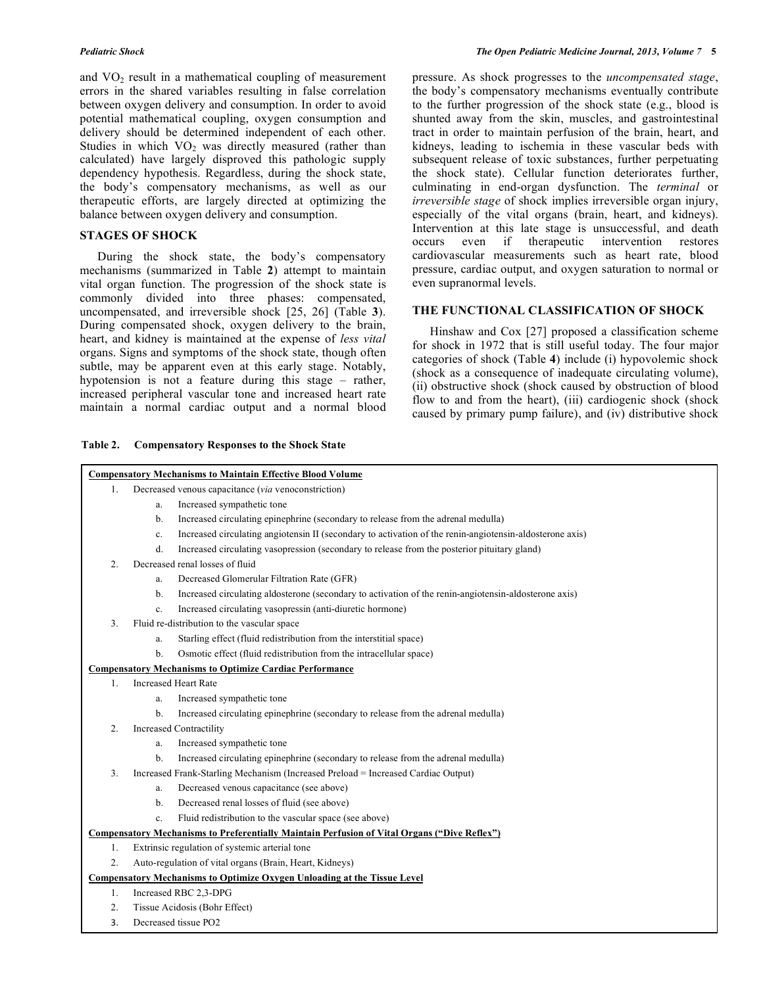and  $VO<sub>2</sub>$  result in a mathematical coupling of measurement errors in the shared variables resulting in false correlation between oxygen delivery and consumption. In order to avoid potential mathematical coupling, oxygen consumption and delivery should be determined independent of each other. Studies in which  $VO<sub>2</sub>$  was directly measured (rather than calculated) have largely disproved this pathologic supply dependency hypothesis. Regardless, during the shock state, the body's compensatory mechanisms, as well as our therapeutic efforts, are largely directed at optimizing the balance between oxygen delivery and consumption.

# **STAGES OF SHOCK**

 During the shock state, the body's compensatory mechanisms (summarized in Table **2**) attempt to maintain vital organ function. The progression of the shock state is commonly divided into three phases: compensated, uncompensated, and irreversible shock [25, 26] (Table **3**). During compensated shock, oxygen delivery to the brain, heart, and kidney is maintained at the expense of *less vital* organs. Signs and symptoms of the shock state, though often subtle, may be apparent even at this early stage. Notably, hypotension is not a feature during this stage – rather, increased peripheral vascular tone and increased heart rate maintain a normal cardiac output and a normal blood

### **Table 2. Compensatory Responses to the Shock State**

pressure. As shock progresses to the *uncompensated stage*, the body's compensatory mechanisms eventually contribute to the further progression of the shock state (e.g., blood is shunted away from the skin, muscles, and gastrointestinal tract in order to maintain perfusion of the brain, heart, and kidneys, leading to ischemia in these vascular beds with subsequent release of toxic substances, further perpetuating the shock state). Cellular function deteriorates further, culminating in end-organ dysfunction. The *terminal* or *irreversible stage* of shock implies irreversible organ injury, especially of the vital organs (brain, heart, and kidneys). Intervention at this late stage is unsuccessful, and death occurs even if therapeutic intervention restores cardiovascular measurements such as heart rate, blood pressure, cardiac output, and oxygen saturation to normal or even supranormal levels.

# **THE FUNCTIONAL CLASSIFICATION OF SHOCK**

 Hinshaw and Cox [27] proposed a classification scheme for shock in 1972 that is still useful today. The four major categories of shock (Table **4**) include (i) hypovolemic shock (shock as a consequence of inadequate circulating volume), (ii) obstructive shock (shock caused by obstruction of blood flow to and from the heart), (iii) cardiogenic shock (shock caused by primary pump failure), and (iv) distributive shock

| <b>Compensatory Mechanisms to Maintain Effective Blood Volume</b>               |                                                                                                                |  |  |  |  |
|---------------------------------------------------------------------------------|----------------------------------------------------------------------------------------------------------------|--|--|--|--|
| 1.                                                                              | Decreased venous capacitance (via venoconstriction)                                                            |  |  |  |  |
|                                                                                 | Increased sympathetic tone<br>a.                                                                               |  |  |  |  |
|                                                                                 | Increased circulating epinephrine (secondary to release from the adrenal medulla)<br>b.                        |  |  |  |  |
|                                                                                 | Increased circulating angiotensin II (secondary to activation of the renin-angiotensin-aldosterone axis)<br>c. |  |  |  |  |
|                                                                                 | Increased circulating vasopression (secondary to release from the posterior pituitary gland)<br>d.             |  |  |  |  |
| $\mathcal{D}$                                                                   | Decreased renal losses of fluid                                                                                |  |  |  |  |
|                                                                                 | Decreased Glomerular Filtration Rate (GFR)<br>a.                                                               |  |  |  |  |
|                                                                                 | Increased circulating aldosterone (secondary to activation of the renin-angiotensin-aldosterone axis)<br>b.    |  |  |  |  |
|                                                                                 | Increased circulating vasopressin (anti-diuretic hormone)<br>$\mathbf{c}$ .                                    |  |  |  |  |
| 3.                                                                              | Fluid re-distribution to the vascular space                                                                    |  |  |  |  |
|                                                                                 | Starling effect (fluid redistribution from the interstitial space)<br>a.                                       |  |  |  |  |
|                                                                                 | Osmotic effect (fluid redistribution from the intracellular space)<br>b.                                       |  |  |  |  |
|                                                                                 | <b>Compensatory Mechanisms to Optimize Cardiac Performance</b>                                                 |  |  |  |  |
| $1_{-}$                                                                         | <b>Increased Heart Rate</b>                                                                                    |  |  |  |  |
|                                                                                 | Increased sympathetic tone<br>a.                                                                               |  |  |  |  |
|                                                                                 | Increased circulating epinephrine (secondary to release from the adrenal medulla)<br>$b$                       |  |  |  |  |
| $\overline{2}$ .                                                                | <b>Increased Contractility</b>                                                                                 |  |  |  |  |
|                                                                                 | Increased sympathetic tone<br>a.                                                                               |  |  |  |  |
|                                                                                 | Increased circulating epinephrine (secondary to release from the adrenal medulla)<br>$b$                       |  |  |  |  |
| 3.                                                                              | Increased Frank-Starling Mechanism (Increased Preload = Increased Cardiac Output)                              |  |  |  |  |
|                                                                                 | Decreased venous capacitance (see above)<br>a.                                                                 |  |  |  |  |
|                                                                                 | Decreased renal losses of fluid (see above)<br>$b$                                                             |  |  |  |  |
|                                                                                 | Fluid redistribution to the vascular space (see above)<br>$\mathbf{c}$ .                                       |  |  |  |  |
|                                                                                 | Compensatory Mechanisms to Preferentially Maintain Perfusion of Vital Organs ("Dive Reflex")                   |  |  |  |  |
| 1.                                                                              | Extrinsic regulation of systemic arterial tone                                                                 |  |  |  |  |
| 2.                                                                              | Auto-regulation of vital organs (Brain, Heart, Kidneys)                                                        |  |  |  |  |
| <b>Compensatory Mechanisms to Optimize Oxygen Unloading at the Tissue Level</b> |                                                                                                                |  |  |  |  |
| 1.                                                                              | Increased RBC 2,3-DPG                                                                                          |  |  |  |  |
| 2.                                                                              | Tissue Acidosis (Bohr Effect)                                                                                  |  |  |  |  |
| 3.                                                                              | Decreased tissue PO2                                                                                           |  |  |  |  |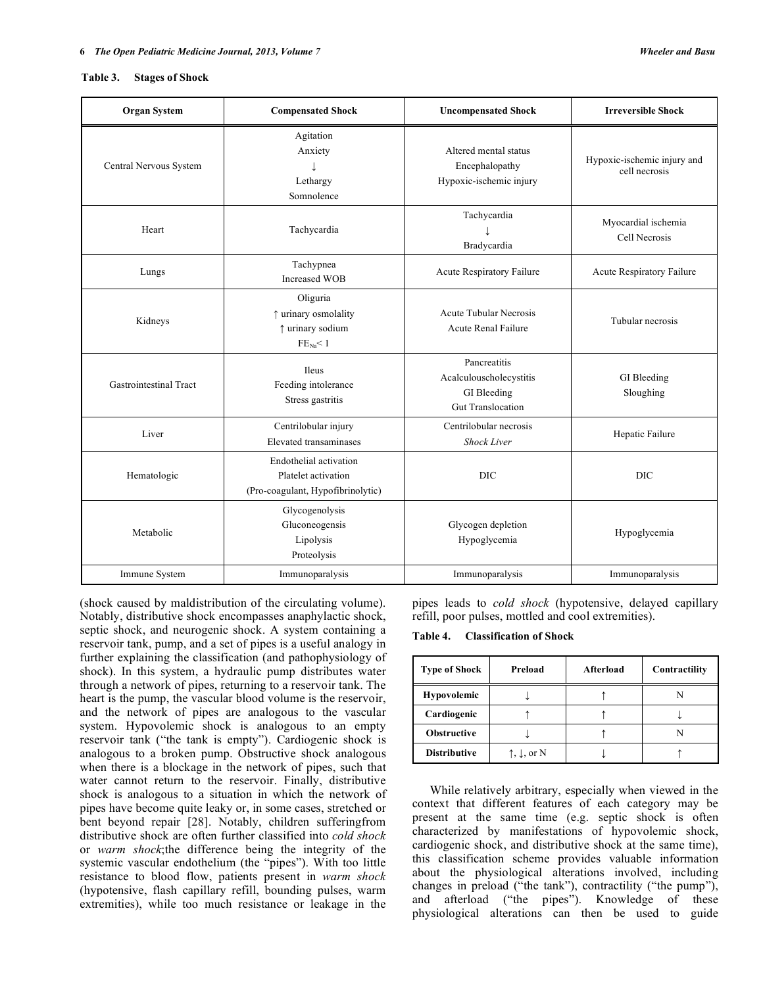#### **Table 3. Stages of Shock**

Г

| <b>Organ System</b>    | <b>Compensated Shock</b>                                                           | <b>Uncompensated Shock</b>                                                         | <b>Irreversible Shock</b>                    |
|------------------------|------------------------------------------------------------------------------------|------------------------------------------------------------------------------------|----------------------------------------------|
| Central Nervous System | Agitation<br>Anxiety<br>Lethargy<br>Somnolence                                     | Altered mental status<br>Encephalopathy<br>Hypoxic-ischemic injury                 | Hypoxic-ischemic injury and<br>cell necrosis |
| Heart                  | Tachycardia                                                                        | Tachycardia<br>Bradycardia                                                         | Myocardial ischemia<br>Cell Necrosis         |
| Lungs                  | Tachypnea<br><b>Increased WOB</b>                                                  | Acute Respiratory Failure                                                          | Acute Respiratory Failure                    |
| Kidneys                | Oliguria<br>↑ urinary osmolality<br>↑ urinary sodium<br>$FE_{Na} < 1$              | <b>Acute Tubular Necrosis</b><br><b>Acute Renal Failure</b>                        | Tubular necrosis                             |
| Gastrointestinal Tract | Ileus<br>Feeding intolerance<br>Stress gastritis                                   | Pancreatitis<br>Acalculouscholecystitis<br>GI Bleeding<br><b>Gut Translocation</b> | GI Bleeding<br>Sloughing                     |
| Liver                  | Centrilobular injury<br>Elevated transaminases                                     | Centrilobular necrosis<br><b>Shock Liver</b>                                       | Hepatic Failure                              |
| Hematologic            | Endothelial activation<br>Platelet activation<br>(Pro-coagulant, Hypofibrinolytic) | <b>DIC</b>                                                                         | <b>DIC</b>                                   |
| Metabolic              | Glycogenolysis<br>Gluconeogensis<br>Lipolysis<br>Proteolysis                       | Glycogen depletion<br>Hypoglycemia                                                 | Hypoglycemia                                 |
| Immune System          | Immunoparalysis                                                                    | Immunoparalysis                                                                    | Immunoparalysis                              |

(shock caused by maldistribution of the circulating volume). Notably, distributive shock encompasses anaphylactic shock, septic shock, and neurogenic shock. A system containing a reservoir tank, pump, and a set of pipes is a useful analogy in further explaining the classification (and pathophysiology of shock). In this system, a hydraulic pump distributes water through a network of pipes, returning to a reservoir tank. The heart is the pump, the vascular blood volume is the reservoir, and the network of pipes are analogous to the vascular system. Hypovolemic shock is analogous to an empty reservoir tank ("the tank is empty"). Cardiogenic shock is analogous to a broken pump. Obstructive shock analogous when there is a blockage in the network of pipes, such that water cannot return to the reservoir. Finally, distributive shock is analogous to a situation in which the network of pipes have become quite leaky or, in some cases, stretched or bent beyond repair [28]. Notably, children sufferingfrom distributive shock are often further classified into *cold shock* or *warm shock*;the difference being the integrity of the systemic vascular endothelium (the "pipes"). With too little resistance to blood flow, patients present in *warm shock* (hypotensive, flash capillary refill, bounding pulses, warm extremities), while too much resistance or leakage in the

pipes leads to *cold shock* (hypotensive, delayed capillary refill, poor pulses, mottled and cool extremities).

**Table 4. Classification of Shock** 

| <b>Type of Shock</b> | Preload                       | <b>Afterload</b> | Contractility |
|----------------------|-------------------------------|------------------|---------------|
| <b>Hypovolemic</b>   |                               |                  |               |
| Cardiogenic          |                               |                  |               |
| <b>Obstructive</b>   |                               |                  |               |
| <b>Distributive</b>  | $\uparrow, \downarrow$ , or N |                  |               |

 While relatively arbitrary, especially when viewed in the context that different features of each category may be present at the same time (e.g. septic shock is often characterized by manifestations of hypovolemic shock, cardiogenic shock, and distributive shock at the same time), this classification scheme provides valuable information about the physiological alterations involved, including changes in preload ("the tank"), contractility ("the pump"), and afterload ("the pipes"). Knowledge of these physiological alterations can then be used to guide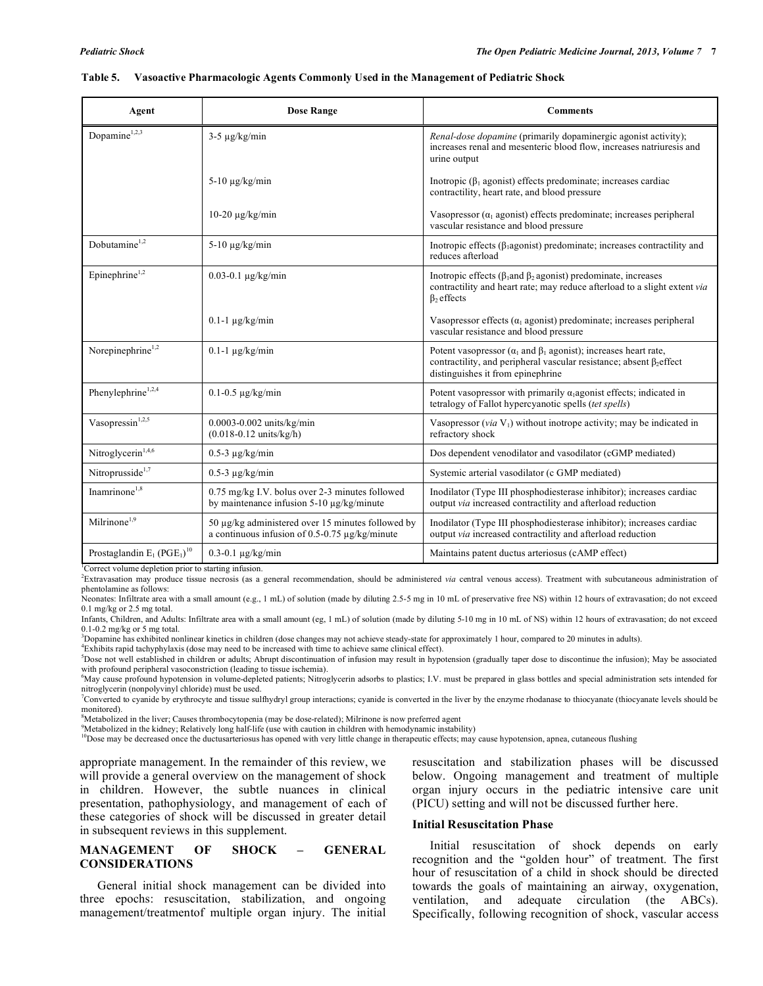| Agent                                                 | <b>Dose Range</b>                                                                                        | <b>Comments</b>                                                                                                                                                                                  |
|-------------------------------------------------------|----------------------------------------------------------------------------------------------------------|--------------------------------------------------------------------------------------------------------------------------------------------------------------------------------------------------|
| Dopamine $1,2,3$                                      | $3-5 \mu g/kg/min$                                                                                       | Renal-dose dopamine (primarily dopaminergic agonist activity);<br>increases renal and mesenteric blood flow, increases natriuresis and<br>urine output                                           |
|                                                       | $5-10 \mu g/kg/min$                                                                                      | Inotropic ( $\beta_1$ agonist) effects predominate; increases cardiac<br>contractility, heart rate, and blood pressure                                                                           |
|                                                       | $10-20 \mu g/kg/min$                                                                                     | Vasopressor $(a_1$ agonist) effects predominate; increases peripheral<br>vascular resistance and blood pressure                                                                                  |
| Dobutamine <sup>1,2</sup>                             | $5-10 \mu g/kg/min$                                                                                      | Inotropic effects ( $\beta_1$ agonist) predominate; increases contractility and<br>reduces afterload                                                                                             |
| Epinephrine <sup>1,2</sup>                            | $0.03 - 0.1 \mu g/kg/min$                                                                                | Inotropic effects ( $\beta_1$ and $\beta_2$ agonist) predominate, increases<br>contractility and heart rate; may reduce afterload to a slight extent via<br>$\beta_2$ effects                    |
|                                                       | $0.1-1 \mu g/kg/min$                                                                                     | Vasopressor effects ( $\alpha_1$ agonist) predominate; increases peripheral<br>vascular resistance and blood pressure                                                                            |
| Norepinephrine <sup>1,2</sup>                         | $0.1-1 \mu g/kg/min$                                                                                     | Potent vasopressor ( $\alpha_1$ and $\beta_1$ agonist); increases heart rate,<br>contractility, and peripheral vascular resistance; absent $\beta_2$ effect<br>distinguishes it from epinephrine |
| Phenylephrine <sup>1,2,4</sup>                        | $0.1 - 0.5 \mu g/kg/min$                                                                                 | Potent vasopressor with primarily $\alpha_1$ agonist effects; indicated in<br>tetralogy of Fallot hypercyanotic spells ( <i>tet spells</i> )                                                     |
| Vasopressin <sup>1,2,5</sup>                          | $0.0003 - 0.002$ units/kg/min<br>$(0.018 - 0.12 \text{ units/kg/h})$                                     | Vasopressor ( <i>via</i> $V_1$ ) without inotrope activity; may be indicated in<br>refractory shock                                                                                              |
| Nitroglycerin <sup>1,4,6</sup>                        | $0.5-3 \mu g/kg/min$                                                                                     | Dos dependent venodilator and vasodilator (cGMP mediated)                                                                                                                                        |
| Nitroprusside <sup>1,7</sup>                          | $0.5-3 \mu g/kg/min$                                                                                     | Systemic arterial vasodilator (c GMP mediated)                                                                                                                                                   |
| Inamrinone $1,8$                                      | 0.75 mg/kg I.V. bolus over 2-3 minutes followed<br>by maintenance infusion $5-10 \mu g/kg/min$           | Inodilator (Type III phosphodiesterase inhibitor); increases cardiac<br>output via increased contractility and afterload reduction                                                               |
| Milrinone <sup>1,9</sup>                              | 50 μg/kg administered over 15 minutes followed by<br>a continuous infusion of 0.5-0.75 $\mu$ g/kg/minute | Inodilator (Type III phosphodiesterase inhibitor); increases cardiac<br>output via increased contractility and afterload reduction                                                               |
| Prostaglandin $E_1$ (PGE <sub>1</sub> ) <sup>10</sup> | $0.3 - 0.1 \mu g/kg/min$                                                                                 | Maintains patent ductus arteriosus (cAMP effect)                                                                                                                                                 |

#### **Table 5. Vasoactive Pharmacologic Agents Commonly Used in the Management of Pediatric Shock**

<sup>1</sup>Correct volume depletion prior to starting infusion.

2 Extravasation may produce tissue necrosis (as a general recommendation, should be administered *via* central venous access). Treatment with subcutaneous administration of phentolamine as follows:

Neonates: Infiltrate area with a small amount (e.g., 1 mL) of solution (made by diluting 2.5-5 mg in 10 mL of preservative free NS) within 12 hours of extravasation; do not exceed 0.1 mg/kg or 2.5 mg total.

Infants, Children, and Adults: Infiltrate area with a small amount (eg, 1 mL) of solution (made by diluting 5-10 mg in 10 mL of NS) within 12 hours of extravasation; do not exceed 0.1-0.2 mg/kg or 5 mg total.

 ${}^{3}$ Dopamine has exhibited nonlinear kinetics in children (dose changes may not achieve steady-state for approximately 1 hour, compared to 20 minutes in adults).

Exhibits rapid tachyphylaxis (dose may need to be increased with time to achieve same clinical effect).

<sup>5</sup>Dose not well established in children or adults; Abrupt discontinuation of infusion may result in hypotension (gradually taper dose to discontinue the infusion); May be associated with profound peripheral vasoconstriction (leading to tissue ischemia).

<sup>6</sup>May cause profound hypotension in volume-depleted patients; Nitroglycerin adsorbs to plastics; I.V. must be prepared in glass bottles and special administration sets intended for nitroglycerin (nonpolyvinyl chloride) must be used.

7 Converted to cyanide by erythrocyte and tissue sulfhydryl group interactions; cyanide is converted in the liver by the enzyme rhodanase to thiocyanate (thiocyanate levels should be monitored).

<sup>8</sup>Metabolized in the liver; Causes thrombocytopenia (may be dose-related); Milrinone is now preferred agent

Metabolized in the kidney; Relatively long half-life (use with caution in children with hemodynamic instability)<br><sup>10</sup>Dose may be decreased once the ductusarteriosus has opened with very little change in therapeutic effects

appropriate management. In the remainder of this review, we will provide a general overview on the management of shock in children. However, the subtle nuances in clinical presentation, pathophysiology, and management of each of these categories of shock will be discussed in greater detail in subsequent reviews in this supplement.

# **MANAGEMENT OF SHOCK – GENERAL CONSIDERATIONS**

 General initial shock management can be divided into three epochs: resuscitation, stabilization, and ongoing management/treatmentof multiple organ injury. The initial

resuscitation and stabilization phases will be discussed below. Ongoing management and treatment of multiple organ injury occurs in the pediatric intensive care unit (PICU) setting and will not be discussed further here.

## **Initial Resuscitation Phase**

 Initial resuscitation of shock depends on early recognition and the "golden hour" of treatment. The first hour of resuscitation of a child in shock should be directed towards the goals of maintaining an airway, oxygenation, ventilation, and adequate circulation (the ABCs). Specifically, following recognition of shock, vascular access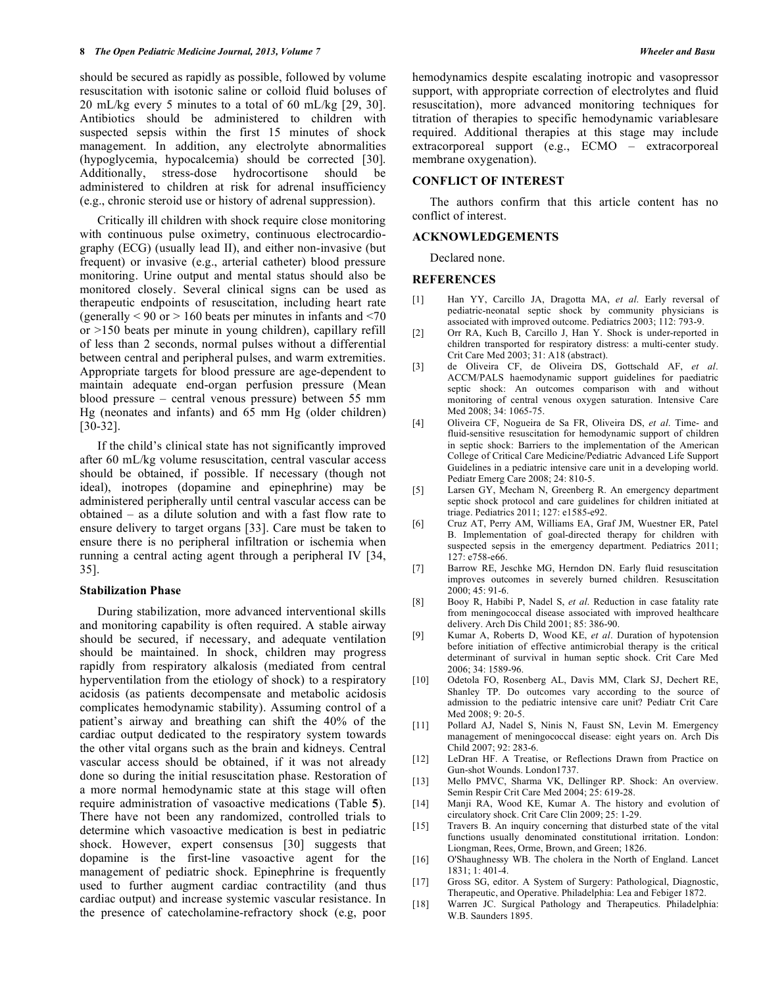should be secured as rapidly as possible, followed by volume resuscitation with isotonic saline or colloid fluid boluses of 20 mL/kg every 5 minutes to a total of 60 mL/kg [29, 30]. Antibiotics should be administered to children with suspected sepsis within the first 15 minutes of shock management. In addition, any electrolyte abnormalities (hypoglycemia, hypocalcemia) should be corrected [30]. Additionally, stress-dose hydrocortisone should be administered to children at risk for adrenal insufficiency (e.g., chronic steroid use or history of adrenal suppression).

 Critically ill children with shock require close monitoring with continuous pulse oximetry, continuous electrocardiography (ECG) (usually lead II), and either non-invasive (but frequent) or invasive (e.g., arterial catheter) blood pressure monitoring. Urine output and mental status should also be monitored closely. Several clinical signs can be used as therapeutic endpoints of resuscitation, including heart rate (generally  $\leq 90$  or  $> 160$  beats per minutes in infants and  $\leq 70$ or >150 beats per minute in young children), capillary refill of less than 2 seconds, normal pulses without a differential between central and peripheral pulses, and warm extremities. Appropriate targets for blood pressure are age-dependent to maintain adequate end-organ perfusion pressure (Mean blood pressure – central venous pressure) between 55 mm Hg (neonates and infants) and 65 mm Hg (older children) [30-32].

 If the child's clinical state has not significantly improved after 60 mL/kg volume resuscitation, central vascular access should be obtained, if possible. If necessary (though not ideal), inotropes (dopamine and epinephrine) may be administered peripherally until central vascular access can be obtained – as a dilute solution and with a fast flow rate to ensure delivery to target organs [33]. Care must be taken to ensure there is no peripheral infiltration or ischemia when running a central acting agent through a peripheral IV [34, 35].

### **Stabilization Phase**

 During stabilization, more advanced interventional skills and monitoring capability is often required. A stable airway should be secured, if necessary, and adequate ventilation should be maintained. In shock, children may progress rapidly from respiratory alkalosis (mediated from central hyperventilation from the etiology of shock) to a respiratory acidosis (as patients decompensate and metabolic acidosis complicates hemodynamic stability). Assuming control of a patient's airway and breathing can shift the 40% of the cardiac output dedicated to the respiratory system towards the other vital organs such as the brain and kidneys. Central vascular access should be obtained, if it was not already done so during the initial resuscitation phase. Restoration of a more normal hemodynamic state at this stage will often require administration of vasoactive medications (Table **5**). There have not been any randomized, controlled trials to determine which vasoactive medication is best in pediatric shock. However, expert consensus [30] suggests that dopamine is the first-line vasoactive agent for the management of pediatric shock. Epinephrine is frequently used to further augment cardiac contractility (and thus cardiac output) and increase systemic vascular resistance. In the presence of catecholamine-refractory shock (e.g, poor

hemodynamics despite escalating inotropic and vasopressor support, with appropriate correction of electrolytes and fluid resuscitation), more advanced monitoring techniques for titration of therapies to specific hemodynamic variablesare required. Additional therapies at this stage may include extracorporeal support (e.g., ECMO – extracorporeal membrane oxygenation).

# **CONFLICT OF INTEREST**

 The authors confirm that this article content has no conflict of interest.

# **ACKNOWLEDGEMENTS**

Declared none.

# **REFERENCES**

- [1] Han YY, Carcillo JA, Dragotta MA, *et al*. Early reversal of pediatric-neonatal septic shock by community physicians is associated with improved outcome. Pediatrics 2003; 112: 793-9.
- [2] Orr RA, Kuch B, Carcillo J, Han Y. Shock is under-reported in children transported for respiratory distress: a multi-center study. Crit Care Med 2003; 31: A18 (abstract).
- [3] de Oliveira CF, de Oliveira DS, Gottschald AF, *et al*. ACCM/PALS haemodynamic support guidelines for paediatric septic shock: An outcomes comparison with and without monitoring of central venous oxygen saturation. Intensive Care Med 2008; 34: 1065-75.
- [4] Oliveira CF, Nogueira de Sa FR, Oliveira DS, *et al*. Time- and fluid-sensitive resuscitation for hemodynamic support of children in septic shock: Barriers to the implementation of the American College of Critical Care Medicine/Pediatric Advanced Life Support Guidelines in a pediatric intensive care unit in a developing world. Pediatr Emerg Care 2008; 24: 810-5.
- [5] Larsen GY, Mecham N, Greenberg R. An emergency department septic shock protocol and care guidelines for children initiated at triage. Pediatrics 2011; 127: e1585-e92.
- [6] Cruz AT, Perry AM, Williams EA, Graf JM, Wuestner ER, Patel B. Implementation of goal-directed therapy for children with suspected sepsis in the emergency department. Pediatrics 2011; 127: e758-e66.
- [7] Barrow RE, Jeschke MG, Herndon DN. Early fluid resuscitation improves outcomes in severely burned children. Resuscitation 2000; 45: 91-6.
- [8] Booy R, Habibi P, Nadel S, *et al*. Reduction in case fatality rate from meningococcal disease associated with improved healthcare delivery. Arch Dis Child 2001; 85: 386-90.
- [9] Kumar A, Roberts D, Wood KE, *et al*. Duration of hypotension before initiation of effective antimicrobial therapy is the critical determinant of survival in human septic shock. Crit Care Med 2006; 34: 1589-96.
- [10] Odetola FO, Rosenberg AL, Davis MM, Clark SJ, Dechert RE, Shanley TP. Do outcomes vary according to the source of admission to the pediatric intensive care unit? Pediatr Crit Care Med 2008; 9: 20-5.
- [11] Pollard AJ, Nadel S, Ninis N, Faust SN, Levin M. Emergency management of meningococcal disease: eight years on. Arch Dis Child 2007; 92: 283-6.
- [12] LeDran HF. A Treatise, or Reflections Drawn from Practice on Gun-shot Wounds. London1737.
- [13] Mello PMVC, Sharma VK, Dellinger RP. Shock: An overview. Semin Respir Crit Care Med 2004; 25: 619-28.
- [14] Manji RA, Wood KE, Kumar A. The history and evolution of circulatory shock. Crit Care Clin 2009; 25: 1-29.
- [15] Travers B. An inquiry concerning that disturbed state of the vital functions usually denominated constitutional irritation. London: Liongman, Rees, Orme, Brown, and Green; 1826.
- [16] O'Shaughnessy WB. The cholera in the North of England. Lancet 1831; 1: 401-4.
- [17] Gross SG, editor. A System of Surgery: Pathological, Diagnostic, Therapeutic, and Operative. Philadelphia: Lea and Febiger 1872.
- [18] Warren JC. Surgical Pathology and Therapeutics. Philadelphia: W.B. Saunders 1895.